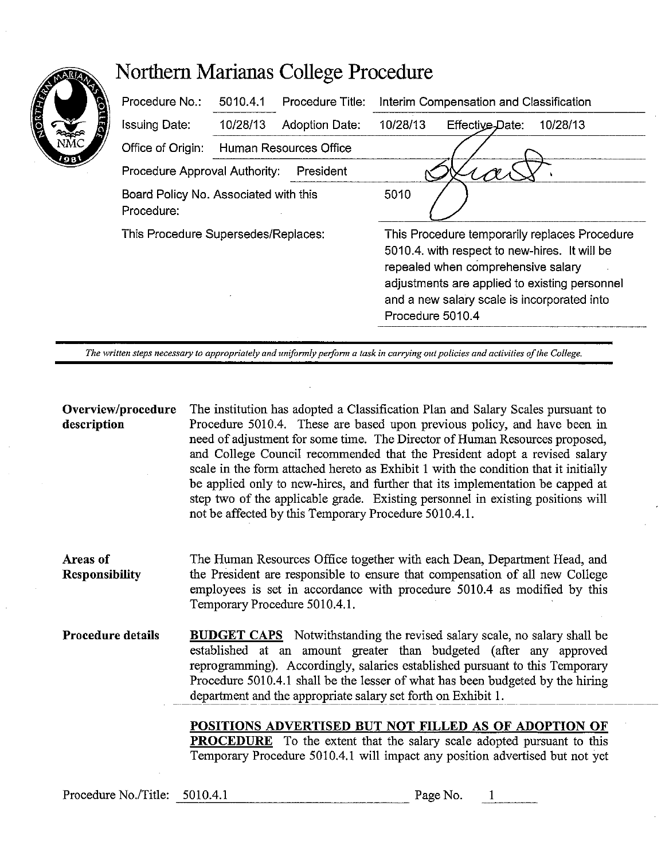|                | Northern Marianas College Procedure                 |          |                        |                                         |                                                                                                                                                                                                                                                          |          |  |  |  |
|----------------|-----------------------------------------------------|----------|------------------------|-----------------------------------------|----------------------------------------------------------------------------------------------------------------------------------------------------------------------------------------------------------------------------------------------------------|----------|--|--|--|
| <b>CONTROL</b> | Procedure No.:                                      | 5010.4.1 | Procedure Title:       | Interim Compensation and Classification |                                                                                                                                                                                                                                                          |          |  |  |  |
| a              | <b>Issuing Date:</b>                                | 10/28/13 | Adoption Date:         | 10/28/13                                | Effective Date:                                                                                                                                                                                                                                          | 10/28/13 |  |  |  |
| 9B             | Office of Origin:                                   |          | Human Resources Office |                                         |                                                                                                                                                                                                                                                          |          |  |  |  |
|                | Procedure Approval Authority:                       |          | President              |                                         |                                                                                                                                                                                                                                                          |          |  |  |  |
|                | Board Policy No. Associated with this<br>Procedure: |          |                        | 5010                                    |                                                                                                                                                                                                                                                          |          |  |  |  |
|                | This Procedure Supersedes/Replaces:                 |          |                        |                                         | This Procedure temporarily replaces Procedure<br>5010.4, with respect to new-hires. It will be<br>repealed when comprehensive salary<br>adjustments are applied to existing personnel<br>and a new salary scale is incorporated into<br>Procedure 5010.4 |          |  |  |  |

The written steps necessary to appropriately and uniformly perform a task in carrying out policies and activities of the College.

## **Overview/procedure description**

The institution has adopted a Classification Plan and Salary Scales pursuant to Procedure 5010.4. These are based upon previous policy, and have been in need of adjustment for some time. The Director of Human Resources proposed, and College Council recommended that the President adopt a revised salary scale in the form attached hereto as Exhibit I with the condition that it initially be applied only to new-hires, and further that its implementation be capped at step two of the applicable grade. Existing personnel in existing positions will not be affected by this Temporary Procedure 5010.4.1.

**Areas of Responsibility**  The Human Resources Office together with each Dean, Department Head, and the President are responsible to ensure that compensation of all new College employees is set in accordance with procedure 5010.4 as modified by this Temporary Procedure 5010.4.1.

**Procedure details BUDGET CAPS** Notwithstanding the revised salary scale, no salary shall be established at an amount greater than budgeted (after any approved reprogramming). Accordingly, salaries established pursuant to this Temporary Procedure 5010.4.1 shall be the lesser of what has been budgeted by the hiring department and the appropriate salary set forth on Exhibit 1.

> **POSITIONS ADVERTISED BUT NOT FILLED AS OF ADOPTION OF PROCEDURE** To the extent that the salary scale adopted pursuant to this Temporary Procedure 5010.4.1 will impact any position advertised but not yet

Procedure No./Title: 5010.4.1 Page No.

 $\mathbf{1}$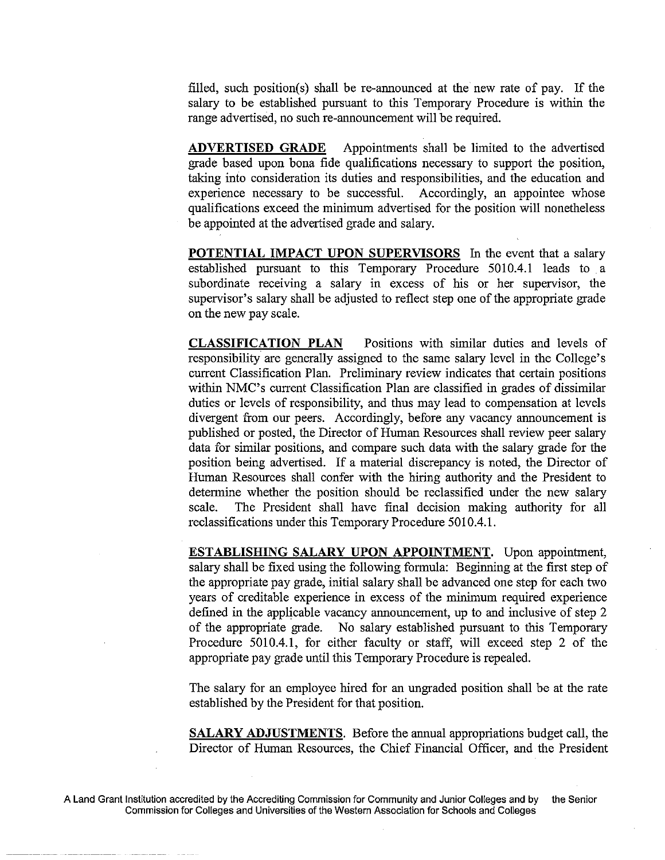filled, such position(s) shall be re-announced at the new rate of pay. If the salary to be established pursuant to this Temporary Procedure is within the range advertised, no such re-announcement will be required.

**ADVERTISED GRADE** Appointments shall be limited to the advertised grade based upon bona fide qualifications necessary to support the position, taking into consideration its duties and responsibilities, and the education and experience necessary to be successful. Accordingly, an appointee whose qualifications exceed the minimum advertised for the position will nonetheless be appointed at the advertised grade and salary.

**POTENTIAL IMPACT UPON SUPERVISORS** In the event that a salary established pursuant to this Temporary Procedure 5010.4.1 leads to a subordinate receiving a salary in excess of his or her supervisor, the supervisor's salary shall be adjusted to reflect step one of the appropriate grade on the new pay scale.

**CLASSIFICATION PLAN** Positions with similar duties and levels of responsibility are generally assigned to the same salary level in the College's current Classification Plan. Preliminary review indicates that certain positions within NMC's current Classification Plan are classified in grades of dissimilar duties or levels of responsibility, and thus may lead to compensation at levels divergent from our peers. Accordingly, before any vacancy announcement is published or posted, the Director of Human Resources shall review peer salary data for similar positions, and compare such data with the salary grade for the position being advertised. If a material discrepancy is noted, the Director of Human Resources shall confer with the hiring authority and the President to determine whether the position should be reclassified under the new salary scale. The President shall have final decision making authority for all reclassifications under this Temporary Procedure 5010.4.1.

**ESTABLISHING SALARY UPON APPOINTMENT.** Upon appointment, salary shall be fixed using the following formula: Beginning at the first step of the appropriate pay grade, initial salary shall be advanced one step for each two years of creditable experience in excess of the minimum required experience defined in the applicable vacancy announcement, up to and inclusive of step 2 of the appropriate grade. No salary established pursuant to this Temporary Procedure 5010.4.1, for either faculty or staff, will exceed step 2 of the appropriate pay grade until this Temporary Procedure is repealed.

The salary for an employee hired for an ungraded position shall be at the rate established by the President for that position.

**SALARY ADJUSTMENTS.** Before the annual appropriations budget call, the Director of Human Resources, the Chief Financial Officer, and the President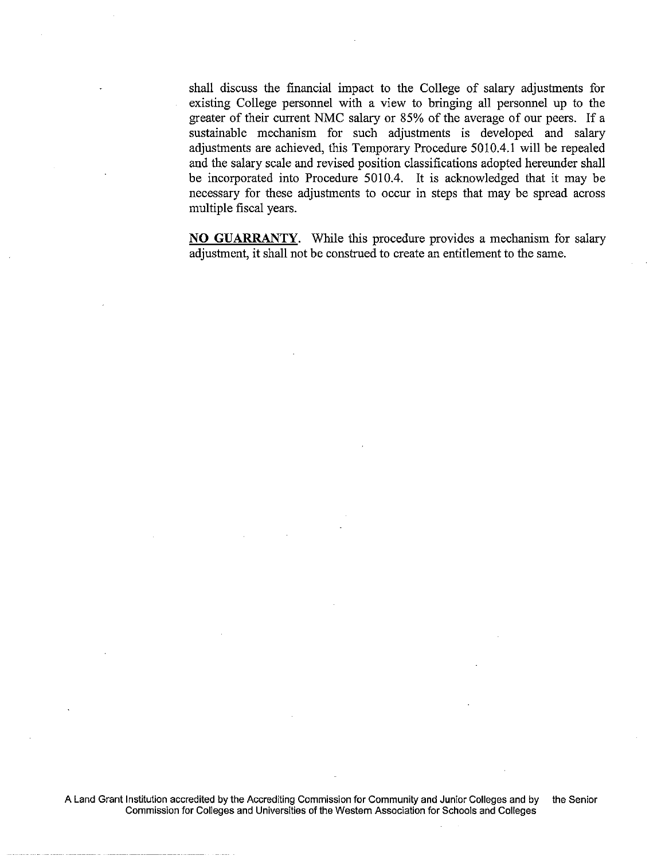shall discuss the financial impact to the College of salary adjustments for existing College personnel with a view to bringing all personnel up to the greater of their current NMC salary or 85% of the average of our peers. If a sustainable mechanism for such adjustments is developed and salary adjustments are achieved, this Temporary Procedure 5010.4.1 will be repealed and the salary scale and revised position classifications adopted hereunder shall be incorporated into Procedure 5010.4. It is acknowledged that it may be necessary for these adjustments to occur in steps that may be spread across multiple fiscal years.

**NO GUARRANTY.** While this procedure provides a mechanism for salary adjustment, it shall not be construed to create an entitlement to the same.

A Land Grant Institution accredited by the Accrediting Commission for Community and Junior Colleges and by the Senior Commission for Colleges and Universities of the Western Association for Schools and Colleges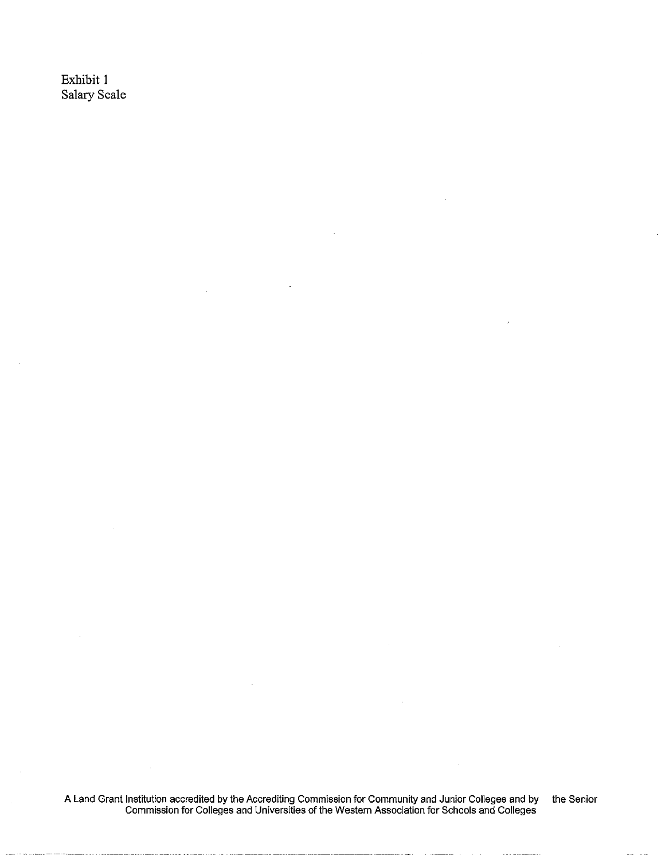Exhibit 1 Salary Scale

A Land Grant Institution accredited by the Accrediting Commission for Community and Junior Colleges and by the Senior Commission for Colleges and Universities of the Western Association for Schools and Colleges